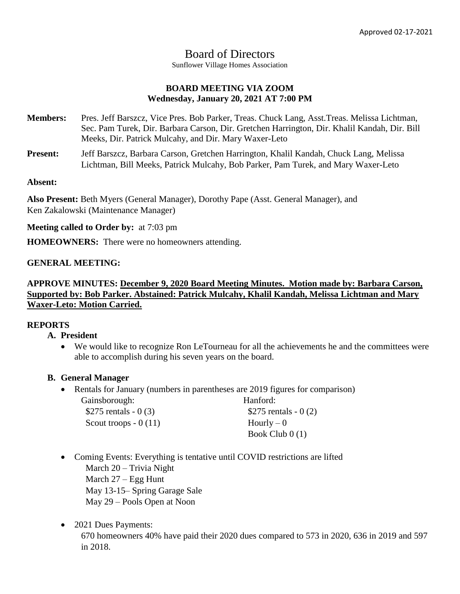# Board of Directors

Sunflower Village Homes Association

# **BOARD MEETING VIA ZOOM Wednesday, January 20, 2021 AT 7:00 PM**

**Members:** Pres. Jeff Barszcz, Vice Pres. Bob Parker, Treas. Chuck Lang, Asst.Treas. Melissa Lichtman, Sec. Pam Turek, Dir. Barbara Carson, Dir. Gretchen Harrington, Dir. Khalil Kandah, Dir. Bill Meeks, Dir. Patrick Mulcahy, and Dir. Mary Waxer-Leto

**Present:** Jeff Barszcz, Barbara Carson, Gretchen Harrington, Khalil Kandah, Chuck Lang, Melissa Lichtman, Bill Meeks, Patrick Mulcahy, Bob Parker, Pam Turek, and Mary Waxer-Leto

#### **Absent:**

**Also Present:** Beth Myers (General Manager), Dorothy Pape (Asst. General Manager), and Ken Zakalowski (Maintenance Manager)

**Meeting called to Order by:** at 7:03 pm

**HOMEOWNERS:** There were no homeowners attending.

### **GENERAL MEETING:**

# **APPROVE MINUTES: December 9, 2020 Board Meeting Minutes. Motion made by: Barbara Carson, Supported by: Bob Parker. Abstained: Patrick Mulcahy, Khalil Kandah, Melissa Lichtman and Mary Waxer-Leto: Motion Carried.**

### **REPORTS**

## **A. President**

 We would like to recognize Ron LeTourneau for all the achievements he and the committees were able to accomplish during his seven years on the board.

### **B. General Manager**

• Rentals for January (numbers in parentheses are 2019 figures for comparison) Gainsborough: Hanford:

| \$275 rentals - $0(3)$ | \$275 rentals $-0(2)$ |
|------------------------|-----------------------|
| Scout troops $-0(11)$  | $Hourly - 0$          |
|                        | Book Club $0(1)$      |

- Coming Events: Everything is tentative until COVID restrictions are lifted March 20 – Trivia Night March 27 – Egg Hunt May 13-15– Spring Garage Sale May 29 – Pools Open at Noon
- 2021 Dues Payments:

670 homeowners 40% have paid their 2020 dues compared to 573 in 2020, 636 in 2019 and 597 in 2018.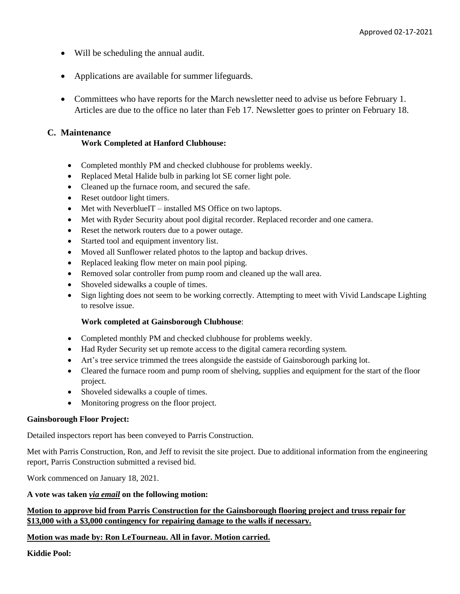- Will be scheduling the annual audit.
- Applications are available for summer lifeguards.
- Committees who have reports for the March newsletter need to advise us before February 1. Articles are due to the office no later than Feb 17. Newsletter goes to printer on February 18.

### **C. Maintenance**

### **Work Completed at Hanford Clubhouse:**

- Completed monthly PM and checked clubhouse for problems weekly.
- Replaced Metal Halide bulb in parking lot SE corner light pole.
- Cleaned up the furnace room, and secured the safe.
- Reset outdoor light timers.
- Met with NeverblueIT installed MS Office on two laptops.
- Met with Ryder Security about pool digital recorder. Replaced recorder and one camera.
- Reset the network routers due to a power outage.
- Started tool and equipment inventory list.
- Moved all Sunflower related photos to the laptop and backup drives.
- Replaced leaking flow meter on main pool piping.
- Removed solar controller from pump room and cleaned up the wall area.
- Shoveled sidewalks a couple of times.
- Sign lighting does not seem to be working correctly. Attempting to meet with Vivid Landscape Lighting to resolve issue.

#### **Work completed at Gainsborough Clubhouse**:

- Completed monthly PM and checked clubhouse for problems weekly.
- Had Ryder Security set up remote access to the digital camera recording system.
- Art's tree service trimmed the trees alongside the eastside of Gainsborough parking lot.
- Cleared the furnace room and pump room of shelving, supplies and equipment for the start of the floor project.
- Shoveled sidewalks a couple of times.
- Monitoring progress on the floor project.

#### **Gainsborough Floor Project:**

Detailed inspectors report has been conveyed to Parris Construction.

Met with Parris Construction, Ron, and Jeff to revisit the site project. Due to additional information from the engineering report, Parris Construction submitted a revised bid.

Work commenced on January 18, 2021.

#### **A vote was taken** *via email* **on the following motion:**

#### **Motion to approve bid from Parris Construction for the Gainsborough flooring project and truss repair for \$13,000 with a \$3,000 contingency for repairing damage to the walls if necessary.**

#### **Motion was made by: Ron LeTourneau. All in favor. Motion carried.**

**Kiddie Pool:**